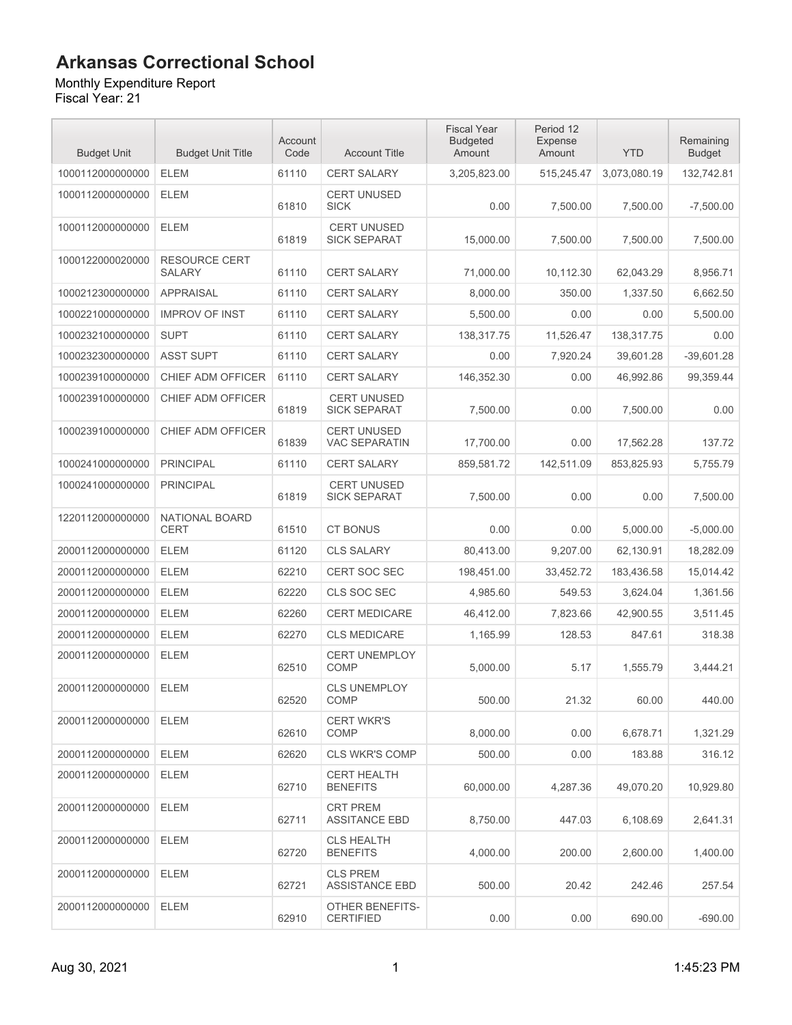#### Monthly Expenditure Report

| <b>Budget Unit</b> | <b>Budget Unit Title</b>              | Account<br>Code | <b>Account Title</b>                       | <b>Fiscal Year</b><br><b>Budgeted</b><br>Amount | Period 12<br><b>Expense</b><br>Amount | <b>YTD</b>   | Remaining<br><b>Budget</b> |
|--------------------|---------------------------------------|-----------------|--------------------------------------------|-------------------------------------------------|---------------------------------------|--------------|----------------------------|
| 1000112000000000   | <b>ELEM</b>                           | 61110           | <b>CERT SALARY</b>                         | 3,205,823.00                                    | 515,245.47                            | 3,073,080.19 | 132,742.81                 |
| 1000112000000000   | <b>ELEM</b>                           | 61810           | <b>CERT UNUSED</b><br><b>SICK</b>          | 0.00                                            | 7,500.00                              | 7,500.00     | $-7,500.00$                |
| 1000112000000000   | <b>ELEM</b>                           | 61819           | <b>CERT UNUSED</b><br><b>SICK SEPARAT</b>  | 15,000.00                                       | 7,500.00                              | 7,500.00     | 7,500.00                   |
| 1000122000020000   | <b>RESOURCE CERT</b><br><b>SALARY</b> | 61110           | <b>CERT SALARY</b>                         | 71,000.00                                       | 10,112.30                             | 62,043.29    | 8,956.71                   |
| 1000212300000000   | <b>APPRAISAL</b>                      | 61110           | <b>CERT SALARY</b>                         | 8,000.00                                        | 350.00                                | 1.337.50     | 6,662.50                   |
| 1000221000000000   | <b>IMPROV OF INST</b>                 | 61110           | <b>CERT SALARY</b>                         | 5,500.00                                        | 0.00                                  | 0.00         | 5,500.00                   |
| 1000232100000000   | <b>SUPT</b>                           | 61110           | <b>CERT SALARY</b>                         | 138,317.75                                      | 11,526.47                             | 138,317.75   | 0.00                       |
| 1000232300000000   | <b>ASST SUPT</b>                      | 61110           | <b>CERT SALARY</b>                         | 0.00                                            | 7,920.24                              | 39,601.28    | $-39,601.28$               |
| 1000239100000000   | CHIEF ADM OFFICER                     | 61110           | <b>CERT SALARY</b>                         | 146,352.30                                      | 0.00                                  | 46,992.86    | 99,359.44                  |
| 1000239100000000   | CHIEF ADM OFFICER                     | 61819           | <b>CERT UNUSED</b><br><b>SICK SEPARAT</b>  | 7,500.00                                        | 0.00                                  | 7,500.00     | 0.00                       |
| 1000239100000000   | <b>CHIEF ADM OFFICER</b>              | 61839           | <b>CERT UNUSED</b><br><b>VAC SEPARATIN</b> | 17,700.00                                       | 0.00                                  | 17,562.28    | 137.72                     |
| 1000241000000000   | <b>PRINCIPAL</b>                      | 61110           | <b>CERT SALARY</b>                         | 859,581.72                                      | 142,511.09                            | 853,825.93   | 5,755.79                   |
| 1000241000000000   | <b>PRINCIPAL</b>                      | 61819           | <b>CERT UNUSED</b><br><b>SICK SEPARAT</b>  | 7,500.00                                        | 0.00                                  | 0.00         | 7,500.00                   |
| 1220112000000000   | NATIONAL BOARD<br><b>CERT</b>         | 61510           | <b>CT BONUS</b>                            | 0.00                                            | 0.00                                  | 5,000.00     | $-5,000.00$                |
| 2000112000000000   | <b>ELEM</b>                           | 61120           | <b>CLS SALARY</b>                          | 80,413.00                                       | 9,207.00                              | 62,130.91    | 18,282.09                  |
| 2000112000000000   | <b>ELEM</b>                           | 62210           | CERT SOC SEC                               | 198,451.00                                      | 33,452.72                             | 183,436.58   | 15,014.42                  |
| 2000112000000000   | <b>ELEM</b>                           | 62220           | CLS SOC SEC                                | 4,985.60                                        | 549.53                                | 3,624.04     | 1,361.56                   |
| 2000112000000000   | <b>ELEM</b>                           | 62260           | <b>CERT MEDICARE</b>                       | 46,412.00                                       | 7,823.66                              | 42,900.55    | 3,511.45                   |
| 2000112000000000   | <b>ELEM</b>                           | 62270           | <b>CLS MEDICARE</b>                        | 1,165.99                                        | 128.53                                | 847.61       | 318.38                     |
| 2000112000000000   | <b>ELEM</b>                           | 62510           | <b>CERT UNEMPLOY</b><br><b>COMP</b>        | 5,000.00                                        | 5.17                                  | 1,555.79     | 3,444.21                   |
| 2000112000000000   | <b>ELEM</b>                           | 62520           | <b>CLS UNEMPLOY</b><br>COMP                | 500.00                                          | 21.32                                 | 60.00        | 440.00                     |
| 2000112000000000   | ELEM                                  | 62610           | <b>CERT WKR'S</b><br>COMP                  | 8.000.00                                        | 0.00                                  | 6,678.71     | 1,321.29                   |
| 2000112000000000   | ELEM                                  | 62620           | <b>CLS WKR'S COMP</b>                      | 500.00                                          | 0.00                                  | 183.88       | 316.12                     |
| 2000112000000000   | <b>ELEM</b>                           | 62710           | <b>CERT HEALTH</b><br><b>BENEFITS</b>      | 60,000.00                                       | 4,287.36                              | 49,070.20    | 10,929.80                  |
| 2000112000000000   | <b>ELEM</b>                           | 62711           | <b>CRT PREM</b><br><b>ASSITANCE EBD</b>    | 8,750.00                                        | 447.03                                | 6,108.69     | 2,641.31                   |
| 2000112000000000   | ELEM                                  | 62720           | <b>CLS HEALTH</b><br><b>BENEFITS</b>       | 4,000.00                                        | 200.00                                | 2.600.00     | 1,400.00                   |
| 2000112000000000   | <b>ELEM</b>                           | 62721           | <b>CLS PREM</b><br><b>ASSISTANCE EBD</b>   | 500.00                                          | 20.42                                 | 242.46       | 257.54                     |
| 2000112000000000   | <b>ELEM</b>                           | 62910           | OTHER BENEFITS-<br><b>CERTIFIED</b>        | 0.00                                            | 0.00                                  | 690.00       | $-690.00$                  |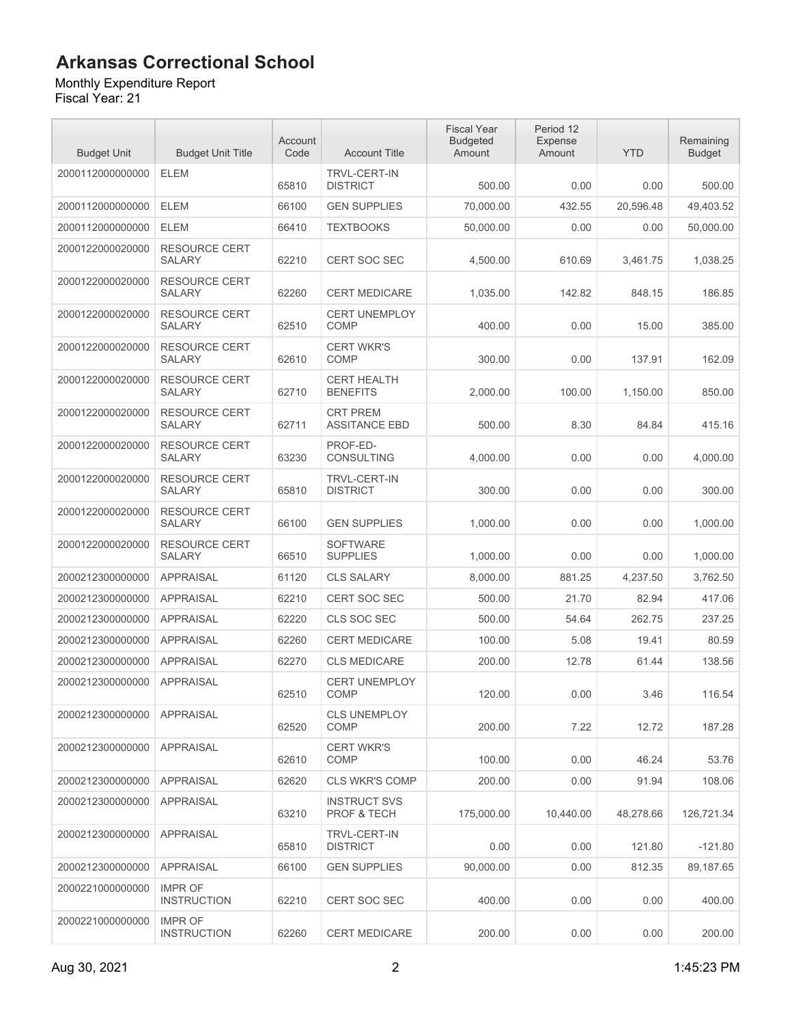#### Monthly Expenditure Report

| <b>Budget Unit</b> | <b>Budget Unit Title</b>              | Account<br>Code | <b>Account Title</b>                    | <b>Fiscal Year</b><br><b>Budgeted</b><br>Amount | Period 12<br>Expense<br>Amount | <b>YTD</b> | Remaining<br><b>Budget</b> |
|--------------------|---------------------------------------|-----------------|-----------------------------------------|-------------------------------------------------|--------------------------------|------------|----------------------------|
| 2000112000000000   | <b>ELEM</b>                           | 65810           | <b>TRVL-CERT-IN</b><br><b>DISTRICT</b>  | 500.00                                          | 0.00                           | 0.00       | 500.00                     |
| 2000112000000000   | <b>ELEM</b>                           | 66100           | <b>GEN SUPPLIES</b>                     | 70,000.00                                       | 432.55                         | 20,596.48  | 49,403.52                  |
| 2000112000000000   | <b>ELEM</b>                           | 66410           | <b>TEXTBOOKS</b>                        | 50,000.00                                       | 0.00                           | 0.00       | 50,000.00                  |
| 2000122000020000   | <b>RESOURCE CERT</b><br><b>SALARY</b> | 62210           | CERT SOC SEC                            | 4,500.00                                        | 610.69                         | 3,461.75   | 1,038.25                   |
| 2000122000020000   | <b>RESOURCE CERT</b><br><b>SALARY</b> | 62260           | <b>CERT MEDICARE</b>                    | 1,035.00                                        | 142.82                         | 848.15     | 186.85                     |
| 2000122000020000   | <b>RESOURCE CERT</b><br><b>SALARY</b> | 62510           | <b>CERT UNEMPLOY</b><br><b>COMP</b>     | 400.00                                          | 0.00                           | 15.00      | 385.00                     |
| 2000122000020000   | <b>RESOURCE CERT</b><br><b>SALARY</b> | 62610           | <b>CERT WKR'S</b><br><b>COMP</b>        | 300.00                                          | 0.00                           | 137.91     | 162.09                     |
| 2000122000020000   | <b>RESOURCE CERT</b><br><b>SALARY</b> | 62710           | <b>CERT HEALTH</b><br><b>BENEFITS</b>   | 2,000.00                                        | 100.00                         | 1,150.00   | 850.00                     |
| 2000122000020000   | <b>RESOURCE CERT</b><br><b>SALARY</b> | 62711           | <b>CRT PREM</b><br><b>ASSITANCE EBD</b> | 500.00                                          | 8.30                           | 84.84      | 415.16                     |
| 2000122000020000   | <b>RESOURCE CERT</b><br><b>SALARY</b> | 63230           | PROF-ED-<br><b>CONSULTING</b>           | 4.000.00                                        | 0.00                           | 0.00       | 4,000.00                   |
| 2000122000020000   | <b>RESOURCE CERT</b><br><b>SALARY</b> | 65810           | <b>TRVL-CERT-IN</b><br><b>DISTRICT</b>  | 300.00                                          | 0.00                           | 0.00       | 300.00                     |
| 2000122000020000   | <b>RESOURCE CERT</b><br><b>SALARY</b> | 66100           | <b>GEN SUPPLIES</b>                     | 1,000.00                                        | 0.00                           | 0.00       | 1,000.00                   |
| 2000122000020000   | <b>RESOURCE CERT</b><br><b>SALARY</b> | 66510           | <b>SOFTWARE</b><br><b>SUPPLIES</b>      | 1,000.00                                        | 0.00                           | 0.00       | 1,000.00                   |
| 2000212300000000   | <b>APPRAISAL</b>                      | 61120           | <b>CLS SALARY</b>                       | 8,000.00                                        | 881.25                         | 4,237.50   | 3,762.50                   |
| 2000212300000000   | <b>APPRAISAL</b>                      | 62210           | CERT SOC SEC                            | 500.00                                          | 21.70                          | 82.94      | 417.06                     |
| 2000212300000000   | <b>APPRAISAL</b>                      | 62220           | CLS SOC SEC                             | 500.00                                          | 54.64                          | 262.75     | 237.25                     |
| 2000212300000000   | <b>APPRAISAL</b>                      | 62260           | <b>CERT MEDICARE</b>                    | 100.00                                          | 5.08                           | 19.41      | 80.59                      |
| 2000212300000000   | <b>APPRAISAL</b>                      | 62270           | <b>CLS MEDICARE</b>                     | 200.00                                          | 12.78                          | 61.44      | 138.56                     |
| 2000212300000000   | <b>APPRAISAL</b>                      | 62510           | <b>CERT UNEMPLOY</b><br><b>COMP</b>     | 120.00                                          | 0.00                           | 3.46       | 116.54                     |
| 2000212300000000   | <b>APPRAISAL</b>                      | 62520           | <b>CLS UNEMPLOY</b><br>COMP             | 200.00                                          | 7.22                           | 12.72      | 187.28                     |
| 2000212300000000   | <b>APPRAISAL</b>                      | 62610           | <b>CERT WKR'S</b><br><b>COMP</b>        | 100.00                                          | 0.00                           | 46.24      | 53.76                      |
| 2000212300000000   | <b>APPRAISAL</b>                      | 62620           | <b>CLS WKR'S COMP</b>                   | 200.00                                          | 0.00                           | 91.94      | 108.06                     |
| 2000212300000000   | <b>APPRAISAL</b>                      | 63210           | <b>INSTRUCT SVS</b><br>PROF & TECH      | 175,000.00                                      | 10.440.00                      | 48,278.66  | 126,721.34                 |
| 2000212300000000   | <b>APPRAISAL</b>                      | 65810           | <b>TRVL-CERT-IN</b><br><b>DISTRICT</b>  | 0.00                                            | 0.00                           | 121.80     | $-121.80$                  |
| 2000212300000000   | <b>APPRAISAL</b>                      | 66100           | <b>GEN SUPPLIES</b>                     | 90,000.00                                       | 0.00                           | 812.35     | 89,187.65                  |
| 2000221000000000   | <b>IMPR OF</b><br><b>INSTRUCTION</b>  | 62210           | <b>CERT SOC SEC</b>                     | 400.00                                          | 0.00                           | 0.00       | 400.00                     |
| 2000221000000000   | <b>IMPR OF</b><br><b>INSTRUCTION</b>  | 62260           | <b>CERT MEDICARE</b>                    | 200.00                                          | 0.00                           | 0.00       | 200.00                     |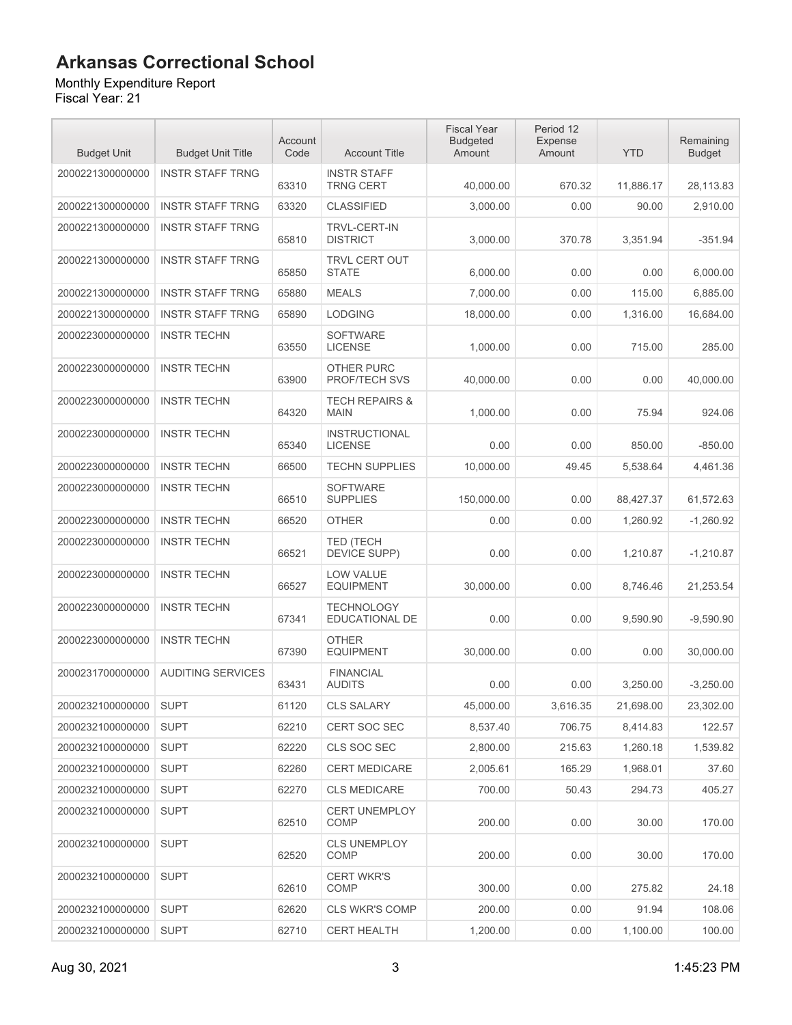Monthly Expenditure Report

| <b>Budget Unit</b> | <b>Budget Unit Title</b> | Account<br>Code | <b>Account Title</b>                     | <b>Fiscal Year</b><br><b>Budgeted</b><br>Amount | Period 12<br><b>Expense</b><br>Amount | <b>YTD</b> | Remaining<br><b>Budget</b> |
|--------------------|--------------------------|-----------------|------------------------------------------|-------------------------------------------------|---------------------------------------|------------|----------------------------|
| 2000221300000000   | <b>INSTR STAFF TRNG</b>  | 63310           | <b>INSTR STAFF</b><br><b>TRNG CERT</b>   | 40,000.00                                       | 670.32                                | 11,886.17  | 28,113.83                  |
| 2000221300000000   | <b>INSTR STAFF TRNG</b>  | 63320           | <b>CLASSIFIED</b>                        | 3,000.00                                        | 0.00                                  | 90.00      | 2,910.00                   |
| 2000221300000000   | <b>INSTR STAFF TRNG</b>  | 65810           | <b>TRVL-CERT-IN</b><br><b>DISTRICT</b>   | 3,000.00                                        | 370.78                                | 3,351.94   | $-351.94$                  |
| 2000221300000000   | <b>INSTR STAFF TRNG</b>  | 65850           | <b>TRVL CERT OUT</b><br><b>STATE</b>     | 6,000.00                                        | 0.00                                  | 0.00       | 6,000.00                   |
| 2000221300000000   | <b>INSTR STAFF TRNG</b>  | 65880           | <b>MEALS</b>                             | 7,000.00                                        | 0.00                                  | 115.00     | 6,885.00                   |
| 2000221300000000   | <b>INSTR STAFF TRNG</b>  | 65890           | <b>LODGING</b>                           | 18,000.00                                       | 0.00                                  | 1,316.00   | 16,684.00                  |
| 2000223000000000   | <b>INSTR TECHN</b>       | 63550           | <b>SOFTWARE</b><br><b>LICENSE</b>        | 1,000.00                                        | 0.00                                  | 715.00     | 285.00                     |
| 2000223000000000   | <b>INSTR TECHN</b>       | 63900           | <b>OTHER PURC</b><br>PROF/TECH SVS       | 40,000.00                                       | 0.00                                  | 0.00       | 40,000.00                  |
| 2000223000000000   | <b>INSTR TECHN</b>       | 64320           | <b>TECH REPAIRS &amp;</b><br><b>MAIN</b> | 1,000.00                                        | 0.00                                  | 75.94      | 924.06                     |
| 2000223000000000   | <b>INSTR TECHN</b>       | 65340           | <b>INSTRUCTIONAL</b><br><b>LICENSE</b>   | 0.00                                            | 0.00                                  | 850.00     | $-850.00$                  |
| 2000223000000000   | <b>INSTR TECHN</b>       | 66500           | <b>TECHN SUPPLIES</b>                    | 10,000.00                                       | 49.45                                 | 5,538.64   | 4,461.36                   |
| 2000223000000000   | <b>INSTR TECHN</b>       | 66510           | <b>SOFTWARE</b><br><b>SUPPLIES</b>       | 150,000.00                                      | 0.00                                  | 88,427.37  | 61,572.63                  |
| 2000223000000000   | <b>INSTR TECHN</b>       | 66520           | <b>OTHER</b>                             | 0.00                                            | 0.00                                  | 1,260.92   | $-1,260.92$                |
| 2000223000000000   | <b>INSTR TECHN</b>       | 66521           | <b>TED (TECH</b><br><b>DEVICE SUPP)</b>  | 0.00                                            | 0.00                                  | 1,210.87   | $-1,210.87$                |
| 2000223000000000   | <b>INSTR TECHN</b>       | 66527           | <b>LOW VALUE</b><br><b>EQUIPMENT</b>     | 30,000.00                                       | 0.00                                  | 8,746.46   | 21,253.54                  |
| 2000223000000000   | <b>INSTR TECHN</b>       | 67341           | <b>TECHNOLOGY</b><br>EDUCATIONAL DE      | 0.00                                            | 0.00                                  | 9,590.90   | $-9,590.90$                |
| 2000223000000000   | <b>INSTR TECHN</b>       | 67390           | <b>OTHER</b><br><b>EQUIPMENT</b>         | 30.000.00                                       | 0.00                                  | 0.00       | 30,000.00                  |
| 2000231700000000   | <b>AUDITING SERVICES</b> | 63431           | <b>FINANCIAL</b><br><b>AUDITS</b>        | 0.00                                            | 0.00                                  | 3.250.00   | $-3,250.00$                |
| 2000232100000000   | <b>SUPT</b>              | 61120           | <b>CLS SALARY</b>                        | 45,000.00                                       | 3,616.35                              | 21,698.00  | 23,302.00                  |
| 2000232100000000   | <b>SUPT</b>              | 62210           | CERT SOC SEC                             | 8,537.40                                        | 706.75                                | 8,414.83   | 122.57                     |
| 2000232100000000   | <b>SUPT</b>              | 62220           | CLS SOC SEC                              | 2,800.00                                        | 215.63                                | 1,260.18   | 1,539.82                   |
| 2000232100000000   | <b>SUPT</b>              | 62260           | <b>CERT MEDICARE</b>                     | 2,005.61                                        | 165.29                                | 1,968.01   | 37.60                      |
| 2000232100000000   | <b>SUPT</b>              | 62270           | <b>CLS MEDICARE</b>                      | 700.00                                          | 50.43                                 | 294.73     | 405.27                     |
| 2000232100000000   | <b>SUPT</b>              | 62510           | <b>CERT UNEMPLOY</b><br>COMP             | 200.00                                          | 0.00                                  | 30.00      | 170.00                     |
| 2000232100000000   | <b>SUPT</b>              | 62520           | <b>CLS UNEMPLOY</b><br><b>COMP</b>       | 200.00                                          | 0.00                                  | 30.00      | 170.00                     |
| 2000232100000000   | <b>SUPT</b>              | 62610           | <b>CERT WKR'S</b><br>COMP                | 300.00                                          | 0.00                                  | 275.82     | 24.18                      |
| 2000232100000000   | <b>SUPT</b>              | 62620           | <b>CLS WKR'S COMP</b>                    | 200.00                                          | 0.00                                  | 91.94      | 108.06                     |
| 2000232100000000   | <b>SUPT</b>              | 62710           | <b>CERT HEALTH</b>                       | 1,200.00                                        | 0.00                                  | 1,100.00   | 100.00                     |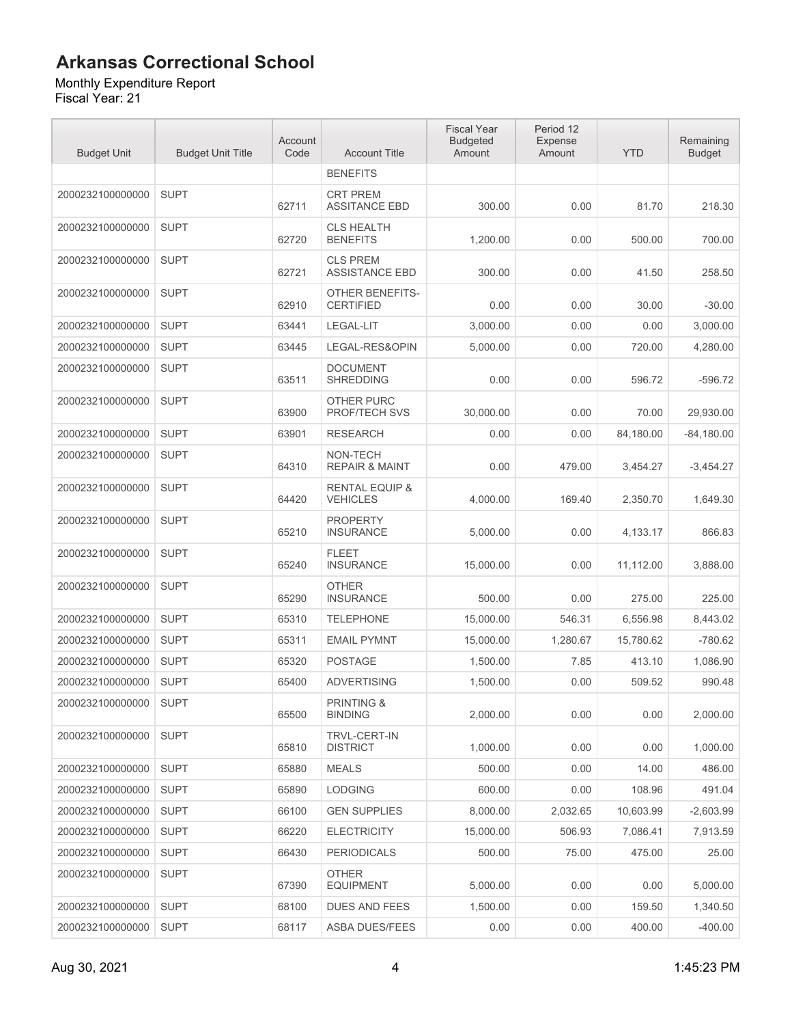Monthly Expenditure Report Fiscal Year: 21

| <b>Budget Unit</b> | <b>Budget Unit Title</b> | Account<br>Code | <b>Account Title</b>                         | <b>Fiscal Year</b><br><b>Budgeted</b><br>Amount | Period 12<br><b>Expense</b><br>Amount | <b>YTD</b> | Remaining<br><b>Budget</b> |
|--------------------|--------------------------|-----------------|----------------------------------------------|-------------------------------------------------|---------------------------------------|------------|----------------------------|
|                    |                          |                 | <b>BENEFITS</b>                              |                                                 |                                       |            |                            |
| 2000232100000000   | <b>SUPT</b>              | 62711           | <b>CRT PREM</b><br><b>ASSITANCE EBD</b>      | 300.00                                          | 0.00                                  | 81.70      | 218.30                     |
| 2000232100000000   | <b>SUPT</b>              | 62720           | <b>CLS HEALTH</b><br><b>BENEFITS</b>         | 1,200.00                                        | 0.00                                  | 500.00     | 700.00                     |
| 2000232100000000   | <b>SUPT</b>              | 62721           | <b>CLS PREM</b><br><b>ASSISTANCE EBD</b>     | 300.00                                          | 0.00                                  | 41.50      | 258.50                     |
| 2000232100000000   | <b>SUPT</b>              | 62910           | <b>OTHER BENEFITS-</b><br><b>CERTIFIED</b>   | 0.00                                            | 0.00                                  | 30.00      | $-30.00$                   |
| 2000232100000000   | <b>SUPT</b>              | 63441           | LEGAL-LIT                                    | 3,000.00                                        | 0.00                                  | 0.00       | 3,000.00                   |
| 2000232100000000   | <b>SUPT</b>              | 63445           | LEGAL-RES&OPIN                               | 5,000.00                                        | 0.00                                  | 720.00     | 4,280.00                   |
| 2000232100000000   | <b>SUPT</b>              | 63511           | <b>DOCUMENT</b><br><b>SHREDDING</b>          | 0.00                                            | 0.00                                  | 596.72     | $-596.72$                  |
| 2000232100000000   | <b>SUPT</b>              | 63900           | <b>OTHER PURC</b><br>PROF/TECH SVS           | 30,000.00                                       | 0.00                                  | 70.00      | 29,930.00                  |
| 2000232100000000   | <b>SUPT</b>              | 63901           | <b>RESEARCH</b>                              | 0.00                                            | 0.00                                  | 84,180.00  | $-84,180.00$               |
| 2000232100000000   | <b>SUPT</b>              | 64310           | NON-TECH<br><b>REPAIR &amp; MAINT</b>        | 0.00                                            | 479.00                                | 3,454.27   | $-3.454.27$                |
| 2000232100000000   | <b>SUPT</b>              | 64420           | <b>RENTAL EQUIP &amp;</b><br><b>VEHICLES</b> | 4,000.00                                        | 169.40                                | 2,350.70   | 1,649.30                   |
| 2000232100000000   | <b>SUPT</b>              | 65210           | <b>PROPERTY</b><br><b>INSURANCE</b>          | 5,000.00                                        | 0.00                                  | 4,133.17   | 866.83                     |
| 2000232100000000   | <b>SUPT</b>              | 65240           | <b>FLEET</b><br><b>INSURANCE</b>             | 15,000.00                                       | 0.00                                  | 11,112.00  | 3,888.00                   |
| 2000232100000000   | <b>SUPT</b>              | 65290           | <b>OTHER</b><br><b>INSURANCE</b>             | 500.00                                          | 0.00                                  | 275.00     | 225.00                     |
| 2000232100000000   | <b>SUPT</b>              | 65310           | <b>TELEPHONE</b>                             | 15,000.00                                       | 546.31                                | 6,556.98   | 8,443.02                   |
| 2000232100000000   | <b>SUPT</b>              | 65311           | <b>EMAIL PYMNT</b>                           | 15,000.00                                       | 1,280.67                              | 15,780.62  | $-780.62$                  |
| 2000232100000000   | <b>SUPT</b>              | 65320           | <b>POSTAGE</b>                               | 1,500.00                                        | 7.85                                  | 413.10     | 1,086.90                   |
| 2000232100000000   | <b>SUPT</b>              | 65400           | <b>ADVERTISING</b>                           | 1,500.00                                        | 0.00                                  | 509.52     | 990.48                     |
| 2000232100000000   | <b>SUPT</b>              | 65500           | <b>PRINTING &amp;</b><br><b>BINDING</b>      | 2,000.00                                        | 0.00                                  | 0.00       | 2,000.00                   |
| 2000232100000000   | <b>SUPT</b>              | 65810           | TRVL-CERT-IN<br><b>DISTRICT</b>              | 1.000.00                                        | 0.00                                  | 0.00       | 1,000.00                   |
| 2000232100000000   | <b>SUPT</b>              | 65880           | <b>MEALS</b>                                 | 500.00                                          | 0.00                                  | 14.00      | 486.00                     |
| 2000232100000000   | <b>SUPT</b>              | 65890           | <b>LODGING</b>                               | 600.00                                          | 0.00                                  | 108.96     | 491.04                     |
| 2000232100000000   | <b>SUPT</b>              | 66100           | <b>GEN SUPPLIES</b>                          | 8,000.00                                        | 2,032.65                              | 10,603.99  | $-2,603.99$                |
| 2000232100000000   | <b>SUPT</b>              | 66220           | <b>ELECTRICITY</b>                           | 15,000.00                                       | 506.93                                | 7,086.41   | 7,913.59                   |
| 2000232100000000   | <b>SUPT</b>              | 66430           | <b>PERIODICALS</b>                           | 500.00                                          | 75.00                                 | 475.00     | 25.00                      |
| 2000232100000000   | <b>SUPT</b>              | 67390           | <b>OTHER</b><br><b>EQUIPMENT</b>             | 5,000.00                                        | 0.00                                  | 0.00       | 5,000.00                   |
| 2000232100000000   | <b>SUPT</b>              | 68100           | <b>DUES AND FEES</b>                         | 1,500.00                                        | 0.00                                  | 159.50     | 1,340.50                   |
| 2000232100000000   | <b>SUPT</b>              | 68117           | ASBA DUES/FEES                               | 0.00                                            | 0.00                                  | 400.00     | $-400.00$                  |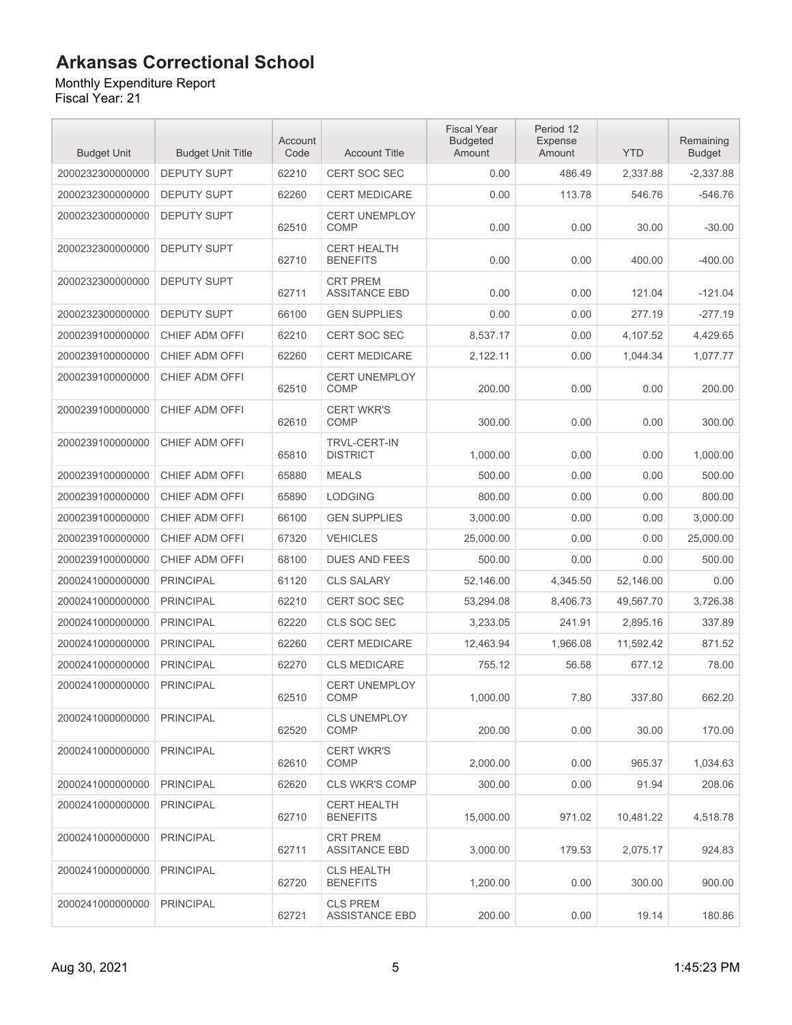#### Monthly Expenditure Report

| <b>Budget Unit</b> | <b>Budget Unit Title</b> | Account<br>Code | <b>Account Title</b>                     | <b>Fiscal Year</b><br><b>Budgeted</b><br>Amount | Period 12<br><b>Expense</b><br>Amount | <b>YTD</b> | Remaining<br><b>Budget</b> |
|--------------------|--------------------------|-----------------|------------------------------------------|-------------------------------------------------|---------------------------------------|------------|----------------------------|
| 2000232300000000   | <b>DEPUTY SUPT</b>       | 62210           | <b>CERT SOC SEC</b>                      | 0.00                                            | 486.49                                | 2,337.88   | $-2,337.88$                |
| 2000232300000000   | <b>DEPUTY SUPT</b>       | 62260           | <b>CERT MEDICARE</b>                     | 0.00                                            | 113.78                                | 546.76     | $-546.76$                  |
| 2000232300000000   | <b>DEPUTY SUPT</b>       | 62510           | <b>CERT UNEMPLOY</b><br><b>COMP</b>      | 0.00                                            | 0.00                                  | 30.00      | $-30.00$                   |
| 2000232300000000   | <b>DEPUTY SUPT</b>       | 62710           | <b>CERT HEALTH</b><br><b>BENEFITS</b>    | 0.00                                            | 0.00                                  | 400.00     | $-400.00$                  |
| 2000232300000000   | <b>DEPUTY SUPT</b>       | 62711           | <b>CRT PREM</b><br><b>ASSITANCE EBD</b>  | 0.00                                            | 0.00                                  | 121.04     | $-121.04$                  |
| 2000232300000000   | <b>DEPUTY SUPT</b>       | 66100           | <b>GEN SUPPLIES</b>                      | 0.00                                            | 0.00                                  | 277.19     | $-277.19$                  |
| 2000239100000000   | CHIEF ADM OFFI           | 62210           | <b>CERT SOC SEC</b>                      | 8,537.17                                        | 0.00                                  | 4,107.52   | 4,429.65                   |
| 2000239100000000   | CHIEF ADM OFFI           | 62260           | <b>CERT MEDICARE</b>                     | 2,122.11                                        | 0.00                                  | 1,044.34   | 1,077.77                   |
| 2000239100000000   | CHIEF ADM OFFI           | 62510           | <b>CERT UNEMPLOY</b><br><b>COMP</b>      | 200.00                                          | 0.00                                  | 0.00       | 200.00                     |
| 2000239100000000   | CHIEF ADM OFFI           | 62610           | <b>CERT WKR'S</b><br><b>COMP</b>         | 300.00                                          | 0.00                                  | 0.00       | 300.00                     |
| 2000239100000000   | CHIEF ADM OFFI           | 65810           | <b>TRVL-CERT-IN</b><br><b>DISTRICT</b>   | 1,000.00                                        | 0.00                                  | 0.00       | 1,000.00                   |
| 2000239100000000   | CHIEF ADM OFFI           | 65880           | <b>MEALS</b>                             | 500.00                                          | 0.00                                  | 0.00       | 500.00                     |
| 2000239100000000   | <b>CHIEF ADM OFFI</b>    | 65890           | <b>LODGING</b>                           | 800.00                                          | 0.00                                  | 0.00       | 800.00                     |
| 2000239100000000   | CHIEF ADM OFFI           | 66100           | <b>GEN SUPPLIES</b>                      | 3,000.00                                        | 0.00                                  | 0.00       | 3,000.00                   |
| 2000239100000000   | CHIEF ADM OFFI           | 67320           | <b>VEHICLES</b>                          | 25,000.00                                       | 0.00                                  | 0.00       | 25,000.00                  |
| 2000239100000000   | CHIEF ADM OFFI           | 68100           | <b>DUES AND FEES</b>                     | 500.00                                          | 0.00                                  | 0.00       | 500.00                     |
| 2000241000000000   | <b>PRINCIPAL</b>         | 61120           | <b>CLS SALARY</b>                        | 52,146.00                                       | 4,345.50                              | 52,146.00  | 0.00                       |
| 2000241000000000   | <b>PRINCIPAL</b>         | 62210           | <b>CERT SOC SEC</b>                      | 53,294.08                                       | 8,406.73                              | 49,567.70  | 3,726.38                   |
| 2000241000000000   | <b>PRINCIPAL</b>         | 62220           | CLS SOC SEC                              | 3,233.05                                        | 241.91                                | 2,895.16   | 337.89                     |
| 2000241000000000   | <b>PRINCIPAL</b>         | 62260           | <b>CERT MEDICARE</b>                     | 12.463.94                                       | 1.966.08                              | 11,592.42  | 871.52                     |
| 2000241000000000   | <b>PRINCIPAL</b>         | 62270           | <b>CLS MEDICARE</b>                      | 755.12                                          | 56.58                                 | 677.12     | 78.00                      |
| 2000241000000000   | <b>PRINCIPAL</b>         | 62510           | <b>CERT UNEMPLOY</b><br>COMP             | 1,000.00                                        | 7.80                                  | 337.80     | 662.20                     |
| 2000241000000000   | <b>PRINCIPAL</b>         | 62520           | <b>CLS UNEMPLOY</b><br><b>COMP</b>       | 200.00                                          | 0.00                                  | 30.00      | 170.00                     |
| 2000241000000000   | <b>PRINCIPAL</b>         | 62610           | <b>CERT WKR'S</b><br>COMP                | 2.000.00                                        | 0.00                                  | 965.37     | 1,034.63                   |
| 2000241000000000   | <b>PRINCIPAL</b>         | 62620           | <b>CLS WKR'S COMP</b>                    | 300.00                                          | 0.00                                  | 91.94      | 208.06                     |
| 2000241000000000   | <b>PRINCIPAL</b>         | 62710           | <b>CERT HEALTH</b><br><b>BENEFITS</b>    | 15,000.00                                       | 971.02                                | 10,481.22  | 4,518.78                   |
| 2000241000000000   | <b>PRINCIPAL</b>         | 62711           | <b>CRT PREM</b><br><b>ASSITANCE EBD</b>  | 3,000.00                                        | 179.53                                | 2,075.17   | 924.83                     |
| 2000241000000000   | <b>PRINCIPAL</b>         | 62720           | <b>CLS HEALTH</b><br><b>BENEFITS</b>     | 1,200.00                                        | 0.00                                  | 300.00     | 900.00                     |
| 2000241000000000   | <b>PRINCIPAL</b>         | 62721           | <b>CLS PREM</b><br><b>ASSISTANCE EBD</b> | 200.00                                          | 0.00                                  | 19.14      | 180.86                     |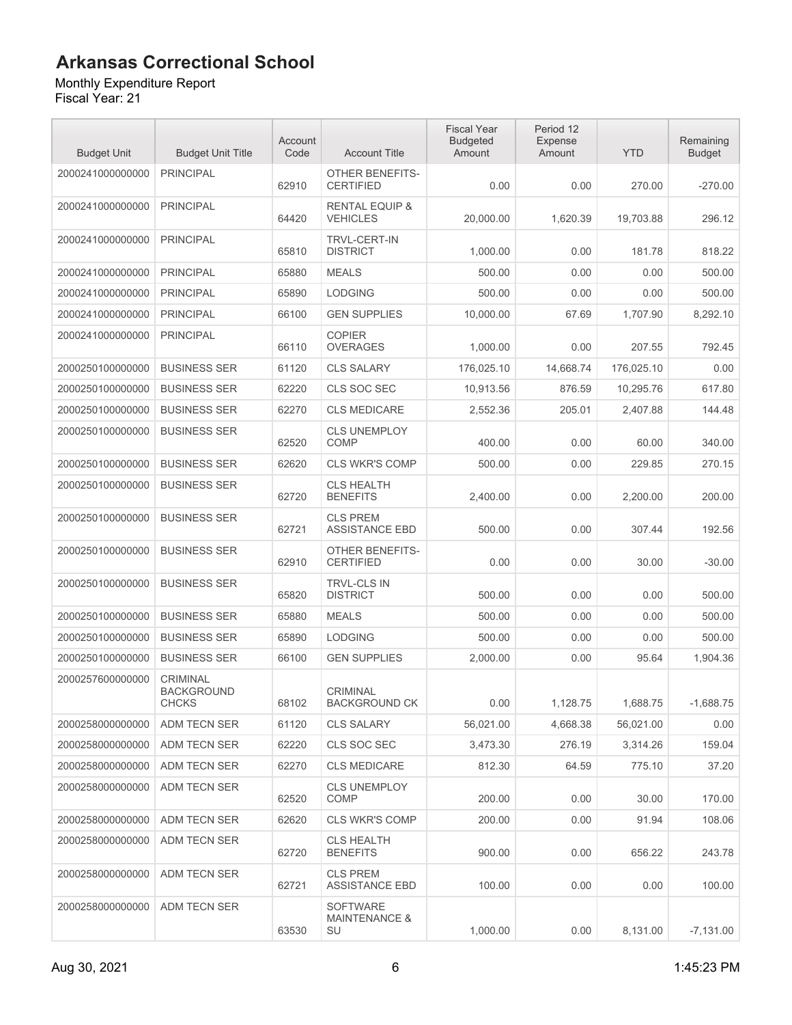#### Monthly Expenditure Report

| <b>Budget Unit</b> | <b>Budget Unit Title</b>                      | Account<br>Code | <b>Account Title</b>                              | <b>Fiscal Year</b><br><b>Budgeted</b><br>Amount | Period 12<br><b>Expense</b><br>Amount | <b>YTD</b> | Remaining<br><b>Budget</b> |
|--------------------|-----------------------------------------------|-----------------|---------------------------------------------------|-------------------------------------------------|---------------------------------------|------------|----------------------------|
| 2000241000000000   | <b>PRINCIPAL</b>                              | 62910           | <b>OTHER BENEFITS-</b><br><b>CERTIFIED</b>        | 0.00                                            | 0.00                                  | 270.00     | $-270.00$                  |
| 2000241000000000   | <b>PRINCIPAL</b>                              | 64420           | <b>RENTAL EQUIP &amp;</b><br><b>VEHICLES</b>      | 20,000.00                                       | 1,620.39                              | 19,703.88  | 296.12                     |
| 2000241000000000   | <b>PRINCIPAL</b>                              | 65810           | <b>TRVL-CERT-IN</b><br><b>DISTRICT</b>            | 1,000.00                                        | 0.00                                  | 181.78     | 818.22                     |
| 2000241000000000   | <b>PRINCIPAL</b>                              | 65880           | <b>MEALS</b>                                      | 500.00                                          | 0.00                                  | 0.00       | 500.00                     |
| 2000241000000000   | <b>PRINCIPAL</b>                              | 65890           | <b>LODGING</b>                                    | 500.00                                          | 0.00                                  | 0.00       | 500.00                     |
| 2000241000000000   | <b>PRINCIPAL</b>                              | 66100           | <b>GEN SUPPLIES</b>                               | 10,000.00                                       | 67.69                                 | 1,707.90   | 8,292.10                   |
| 2000241000000000   | <b>PRINCIPAL</b>                              | 66110           | <b>COPIER</b><br><b>OVERAGES</b>                  | 1,000.00                                        | 0.00                                  | 207.55     | 792.45                     |
| 2000250100000000   | <b>BUSINESS SER</b>                           | 61120           | <b>CLS SALARY</b>                                 | 176,025.10                                      | 14,668.74                             | 176,025.10 | 0.00                       |
| 2000250100000000   | <b>BUSINESS SER</b>                           | 62220           | CLS SOC SEC                                       | 10,913.56                                       | 876.59                                | 10,295.76  | 617.80                     |
| 2000250100000000   | <b>BUSINESS SER</b>                           | 62270           | <b>CLS MEDICARE</b>                               | 2,552.36                                        | 205.01                                | 2,407.88   | 144.48                     |
| 2000250100000000   | <b>BUSINESS SER</b>                           | 62520           | CLS UNEMPLOY<br>COMP                              | 400.00                                          | 0.00                                  | 60.00      | 340.00                     |
| 2000250100000000   | <b>BUSINESS SER</b>                           | 62620           | <b>CLS WKR'S COMP</b>                             | 500.00                                          | 0.00                                  | 229.85     | 270.15                     |
| 2000250100000000   | <b>BUSINESS SER</b>                           | 62720           | <b>CLS HEALTH</b><br><b>BENEFITS</b>              | 2,400.00                                        | 0.00                                  | 2,200.00   | 200.00                     |
| 2000250100000000   | <b>BUSINESS SER</b>                           | 62721           | <b>CLS PREM</b><br><b>ASSISTANCE EBD</b>          | 500.00                                          | 0.00                                  | 307.44     | 192.56                     |
| 2000250100000000   | <b>BUSINESS SER</b>                           | 62910           | OTHER BENEFITS-<br><b>CERTIFIED</b>               | 0.00                                            | 0.00                                  | 30.00      | $-30.00$                   |
| 2000250100000000   | <b>BUSINESS SER</b>                           | 65820           | <b>TRVL-CLS IN</b><br><b>DISTRICT</b>             | 500.00                                          | 0.00                                  | 0.00       | 500.00                     |
| 2000250100000000   | <b>BUSINESS SER</b>                           | 65880           | <b>MEALS</b>                                      | 500.00                                          | 0.00                                  | 0.00       | 500.00                     |
| 2000250100000000   | <b>BUSINESS SER</b>                           | 65890           | <b>LODGING</b>                                    | 500.00                                          | 0.00                                  | 0.00       | 500.00                     |
| 2000250100000000   | <b>BUSINESS SER</b>                           | 66100           | <b>GEN SUPPLIES</b>                               | 2,000.00                                        | 0.00                                  | 95.64      | 1,904.36                   |
| 2000257600000000   | <b>CRIMINAL</b><br><b>BACKGROUND</b><br>CHCKS | 68102           | <b>CRIMINAL</b><br>BACKGROUND CK                  | 0.00                                            | 1,128.75                              | 1,688.75   | $-1,688.75$                |
| 2000258000000000   | ADM TECN SER                                  | 61120           | <b>CLS SALARY</b>                                 | 56,021.00                                       | 4,668.38                              | 56,021.00  | 0.00                       |
| 2000258000000000   | ADM TECN SER                                  | 62220           | CLS SOC SEC                                       | 3,473.30                                        | 276.19                                | 3,314.26   | 159.04                     |
| 2000258000000000   | ADM TECN SER                                  | 62270           | <b>CLS MEDICARE</b>                               | 812.30                                          | 64.59                                 | 775.10     | 37.20                      |
| 2000258000000000   | ADM TECN SER                                  | 62520           | <b>CLS UNEMPLOY</b><br>COMP                       | 200.00                                          | 0.00                                  | 30.00      | 170.00                     |
| 2000258000000000   | ADM TECN SER                                  | 62620           | <b>CLS WKR'S COMP</b>                             | 200.00                                          | 0.00                                  | 91.94      | 108.06                     |
| 2000258000000000   | ADM TECN SER                                  | 62720           | <b>CLS HEALTH</b><br><b>BENEFITS</b>              | 900.00                                          | 0.00                                  | 656.22     | 243.78                     |
| 2000258000000000   | ADM TECN SER                                  | 62721           | <b>CLS PREM</b><br><b>ASSISTANCE EBD</b>          | 100.00                                          | 0.00                                  | 0.00       | 100.00                     |
| 2000258000000000   | ADM TECN SER                                  | 63530           | <b>SOFTWARE</b><br><b>MAINTENANCE &amp;</b><br>SU | 1,000.00                                        | 0.00                                  | 8,131.00   | $-7,131.00$                |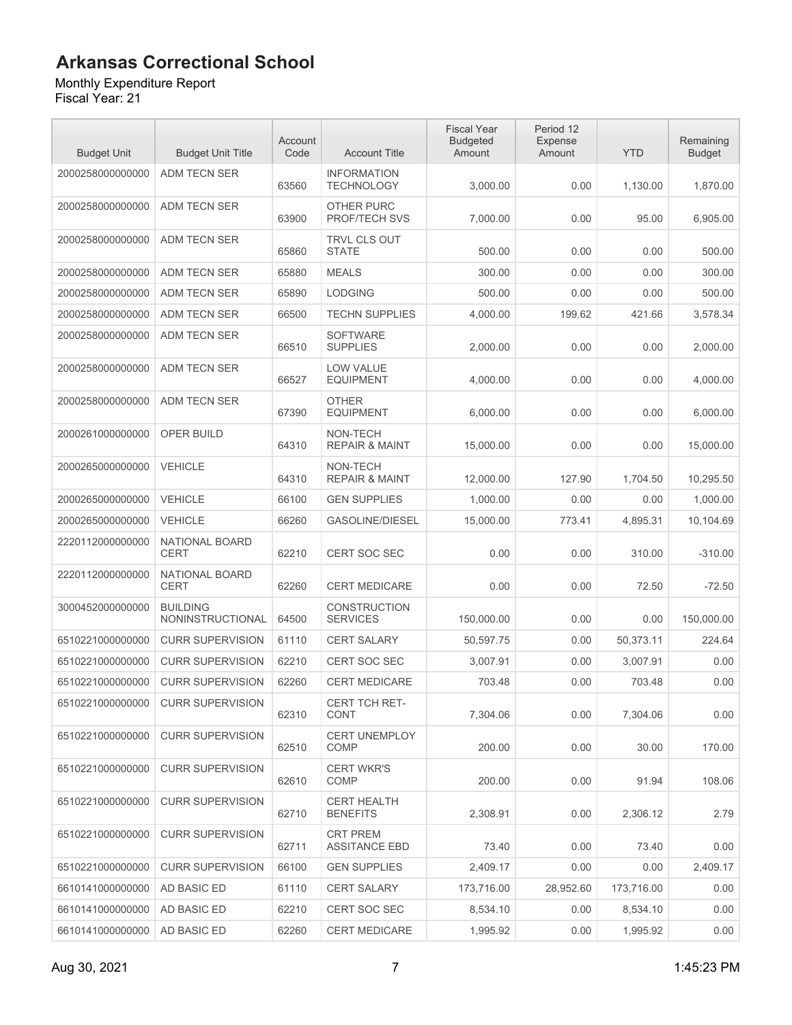Monthly Expenditure Report

| <b>Budget Unit</b> | <b>Budget Unit Title</b>            | Account<br>Code | <b>Account Title</b>                    | <b>Fiscal Year</b><br><b>Budgeted</b><br>Amount | Period 12<br>Expense<br>Amount | <b>YTD</b> | Remaining<br><b>Budget</b> |
|--------------------|-------------------------------------|-----------------|-----------------------------------------|-------------------------------------------------|--------------------------------|------------|----------------------------|
| 2000258000000000   | <b>ADM TECN SER</b>                 | 63560           | <b>INFORMATION</b><br><b>TECHNOLOGY</b> | 3,000.00                                        | 0.00                           | 1,130.00   | 1,870.00                   |
| 2000258000000000   | ADM TECN SER                        | 63900           | OTHER PURC<br><b>PROF/TECH SVS</b>      | 7,000.00                                        | 0.00                           | 95.00      | 6,905.00                   |
| 2000258000000000   | ADM TECN SER                        | 65860           | <b>TRVL CLS OUT</b><br><b>STATE</b>     | 500.00                                          | 0.00                           | 0.00       | 500.00                     |
| 2000258000000000   | <b>ADM TECN SER</b>                 | 65880           | <b>MEALS</b>                            | 300.00                                          | 0.00                           | 0.00       | 300.00                     |
| 2000258000000000   | <b>ADM TECN SER</b>                 | 65890           | <b>LODGING</b>                          | 500.00                                          | 0.00                           | 0.00       | 500.00                     |
| 2000258000000000   | ADM TECN SER                        | 66500           | <b>TECHN SUPPLIES</b>                   | 4,000.00                                        | 199.62                         | 421.66     | 3,578.34                   |
| 2000258000000000   | <b>ADM TECN SER</b>                 | 66510           | <b>SOFTWARE</b><br><b>SUPPLIES</b>      | 2,000.00                                        | 0.00                           | 0.00       | 2,000.00                   |
| 2000258000000000   | ADM TECN SER                        | 66527           | <b>LOW VALUE</b><br><b>EQUIPMENT</b>    | 4,000.00                                        | 0.00                           | 0.00       | 4,000.00                   |
| 2000258000000000   | ADM TECN SER                        | 67390           | <b>OTHER</b><br><b>EQUIPMENT</b>        | 6,000.00                                        | 0.00                           | 0.00       | 6.000.00                   |
| 2000261000000000   | <b>OPER BUILD</b>                   | 64310           | NON-TECH<br><b>REPAIR &amp; MAINT</b>   | 15,000.00                                       | 0.00                           | 0.00       | 15.000.00                  |
| 2000265000000000   | <b>VEHICLE</b>                      | 64310           | NON-TECH<br><b>REPAIR &amp; MAINT</b>   | 12,000.00                                       | 127.90                         | 1,704.50   | 10,295.50                  |
| 2000265000000000   | <b>VEHICLE</b>                      | 66100           | <b>GEN SUPPLIES</b>                     | 1,000.00                                        | 0.00                           | 0.00       | 1,000.00                   |
| 2000265000000000   | <b>VEHICLE</b>                      | 66260           | <b>GASOLINE/DIESEL</b>                  | 15,000.00                                       | 773.41                         | 4,895.31   | 10,104.69                  |
| 2220112000000000   | NATIONAL BOARD<br><b>CERT</b>       | 62210           | CERT SOC SEC                            | 0.00                                            | 0.00                           | 310.00     | $-310.00$                  |
| 2220112000000000   | NATIONAL BOARD<br><b>CERT</b>       | 62260           | <b>CERT MEDICARE</b>                    | 0.00                                            | 0.00                           | 72.50      | $-72.50$                   |
| 3000452000000000   | <b>BUILDING</b><br>NONINSTRUCTIONAL | 64500           | <b>CONSTRUCTION</b><br><b>SERVICES</b>  | 150,000.00                                      | 0.00                           | 0.00       | 150,000.00                 |
| 6510221000000000   | <b>CURR SUPERVISION</b>             | 61110           | <b>CERT SALARY</b>                      | 50,597.75                                       | 0.00                           | 50,373.11  | 224.64                     |
| 6510221000000000   | <b>CURR SUPERVISION</b>             | 62210           | CERT SOC SEC                            | 3,007.91                                        | 0.00                           | 3,007.91   | 0.00                       |
| 6510221000000000   | <b>CURR SUPERVISION</b>             | 62260           | <b>CERT MEDICARE</b>                    | 703.48                                          | 0.00                           | 703.48     | 0.00                       |
| 6510221000000000   | <b>CURR SUPERVISION</b>             | 62310           | CERT TCH RET-<br><b>CONT</b>            | 7,304.06                                        | 0.00                           | 7,304.06   | 0.00                       |
| 6510221000000000   | <b>CURR SUPERVISION</b>             | 62510           | <b>CERT UNEMPLOY</b><br><b>COMP</b>     | 200.00                                          | 0.00                           | 30.00      | 170.00                     |
| 6510221000000000   | <b>CURR SUPERVISION</b>             | 62610           | <b>CERT WKR'S</b><br><b>COMP</b>        | 200.00                                          | 0.00                           | 91.94      | 108.06                     |
| 6510221000000000   | <b>CURR SUPERVISION</b>             | 62710           | <b>CERT HEALTH</b><br><b>BENEFITS</b>   | 2,308.91                                        | 0.00                           | 2,306.12   | 2.79                       |
| 6510221000000000   | <b>CURR SUPERVISION</b>             | 62711           | <b>CRT PREM</b><br><b>ASSITANCE EBD</b> | 73.40                                           | 0.00                           | 73.40      | 0.00                       |
| 6510221000000000   | <b>CURR SUPERVISION</b>             | 66100           | <b>GEN SUPPLIES</b>                     | 2,409.17                                        | 0.00                           | 0.00       | 2,409.17                   |
| 6610141000000000   | AD BASIC ED                         | 61110           | <b>CERT SALARY</b>                      | 173,716.00                                      | 28,952.60                      | 173,716.00 | 0.00                       |
| 6610141000000000   | AD BASIC ED                         | 62210           | <b>CERT SOC SEC</b>                     | 8,534.10                                        | 0.00                           | 8,534.10   | 0.00                       |
| 6610141000000000   | AD BASIC ED                         | 62260           | <b>CERT MEDICARE</b>                    | 1,995.92                                        | 0.00                           | 1,995.92   | 0.00                       |